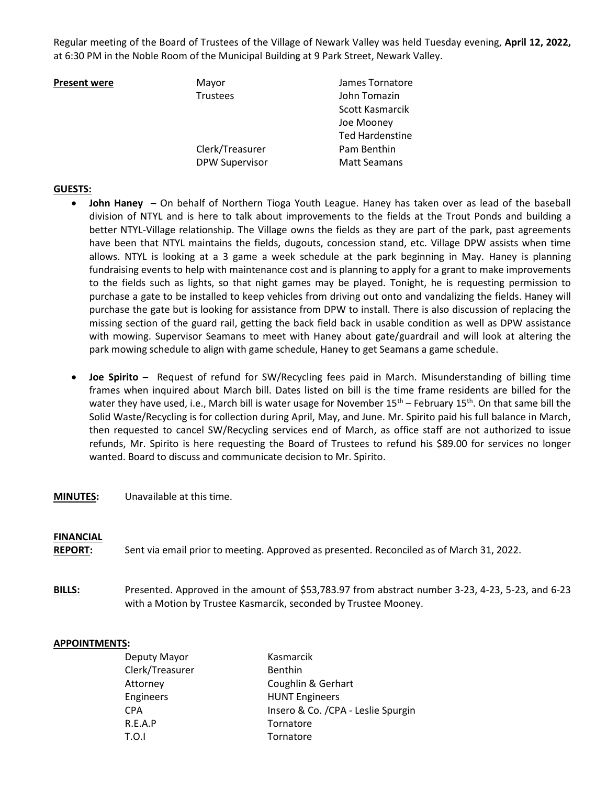Regular meeting of the Board of Trustees of the Village of Newark Valley was held Tuesday evening, **April 12, 2022,** at 6:30 PM in the Noble Room of the Municipal Building at 9 Park Street, Newark Valley.

| <b>Present were</b> | Mayor                 | James Tornatore        |
|---------------------|-----------------------|------------------------|
|                     | Trustees              | John Tomazin           |
|                     |                       | Scott Kasmarcik        |
|                     |                       | Joe Mooney             |
|                     |                       | <b>Ted Hardenstine</b> |
|                     | Clerk/Treasurer       | Pam Benthin            |
|                     | <b>DPW Supervisor</b> | <b>Matt Seamans</b>    |

## **GUESTS:**

- **John Haney –** On behalf of Northern Tioga Youth League. Haney has taken over as lead of the baseball division of NTYL and is here to talk about improvements to the fields at the Trout Ponds and building a better NTYL-Village relationship. The Village owns the fields as they are part of the park, past agreements have been that NTYL maintains the fields, dugouts, concession stand, etc. Village DPW assists when time allows. NTYL is looking at a 3 game a week schedule at the park beginning in May. Haney is planning fundraising events to help with maintenance cost and is planning to apply for a grant to make improvements to the fields such as lights, so that night games may be played. Tonight, he is requesting permission to purchase a gate to be installed to keep vehicles from driving out onto and vandalizing the fields. Haney will purchase the gate but is looking for assistance from DPW to install. There is also discussion of replacing the missing section of the guard rail, getting the back field back in usable condition as well as DPW assistance with mowing. Supervisor Seamans to meet with Haney about gate/guardrail and will look at altering the park mowing schedule to align with game schedule, Haney to get Seamans a game schedule.
- **Joe Spirito –** Request of refund for SW/Recycling fees paid in March. Misunderstanding of billing time frames when inquired about March bill. Dates listed on bill is the time frame residents are billed for the water they have used, i.e., March bill is water usage for November 15<sup>th</sup> – February 15<sup>th</sup>. On that same bill the Solid Waste/Recycling is for collection during April, May, and June. Mr. Spirito paid his full balance in March, then requested to cancel SW/Recycling services end of March, as office staff are not authorized to issue refunds, Mr. Spirito is here requesting the Board of Trustees to refund his \$89.00 for services no longer wanted. Board to discuss and communicate decision to Mr. Spirito.

### **MINUTES:** Unavailable at this time.

### **FINANCIAL**

- **REPORT:** Sent via email prior to meeting. Approved as presented. Reconciled as of March 31, 2022.
- **BILLS:** Presented. Approved in the amount of \$53,783.97 from abstract number 3-23, 4-23, 5-23, and 6-23 with a Motion by Trustee Kasmarcik, seconded by Trustee Mooney.

### **APPOINTMENTS:**

| Deputy Mayor    | Kasmarcik                          |
|-----------------|------------------------------------|
| Clerk/Treasurer | <b>Benthin</b>                     |
| Attorney        | Coughlin & Gerhart                 |
| Engineers       | <b>HUNT Engineers</b>              |
| <b>CPA</b>      | Insero & Co. /CPA - Leslie Spurgin |
| R.E.A.P         | Tornatore                          |
| T.O.I           | Tornatore                          |
|                 |                                    |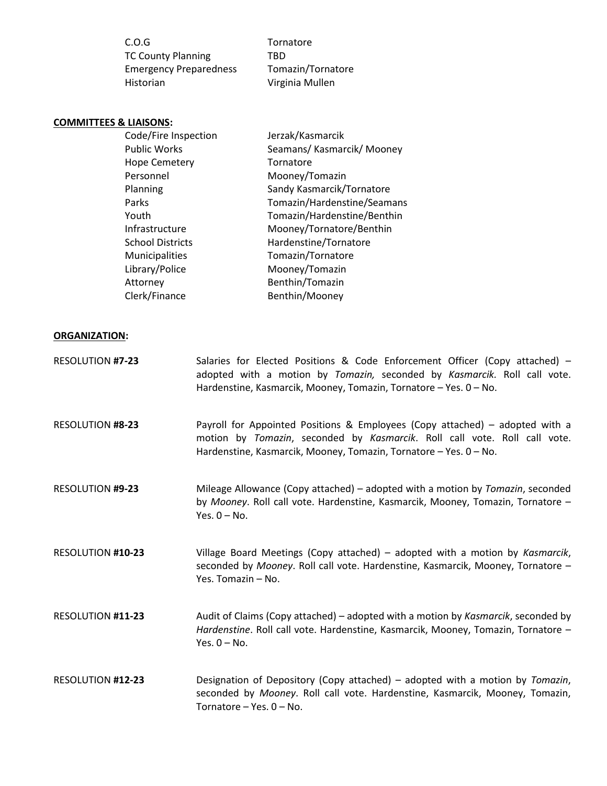| Tornatore         |
|-------------------|
| TBD               |
| Tomazin/Tornatore |
| Virginia Mullen   |
|                   |

# **COMMITTEES & LIAISONS:**

| Code/Fire Inspection    | Jerzak/Kasmarcik            |
|-------------------------|-----------------------------|
| <b>Public Works</b>     | Seamans/Kasmarcik/Mooney    |
| <b>Hope Cemetery</b>    | Tornatore                   |
| Personnel               | Mooney/Tomazin              |
| Planning                | Sandy Kasmarcik/Tornatore   |
| Parks                   | Tomazin/Hardenstine/Seamans |
| Youth                   | Tomazin/Hardenstine/Benthin |
| Infrastructure          | Mooney/Tornatore/Benthin    |
| <b>School Districts</b> | Hardenstine/Tornatore       |
| Municipalities          | Tomazin/Tornatore           |
| Library/Police          | Mooney/Tomazin              |
| Attorney                | Benthin/Tomazin             |
| Clerk/Finance           | Benthin/Mooney              |
|                         |                             |

## **ORGANIZATION:**

| <b>RESOLUTION #7-23</b>  | Salaries for Elected Positions & Code Enforcement Officer (Copy attached) -<br>adopted with a motion by Tomazin, seconded by Kasmarcik. Roll call vote.<br>Hardenstine, Kasmarcik, Mooney, Tomazin, Tornatore - Yes. 0 - No.   |
|--------------------------|--------------------------------------------------------------------------------------------------------------------------------------------------------------------------------------------------------------------------------|
| <b>RESOLUTION #8-23</b>  | Payroll for Appointed Positions & Employees (Copy attached) – adopted with a<br>motion by Tomazin, seconded by Kasmarcik. Roll call vote. Roll call vote.<br>Hardenstine, Kasmarcik, Mooney, Tomazin, Tornatore - Yes. 0 - No. |
| <b>RESOLUTION #9-23</b>  | Mileage Allowance (Copy attached) – adopted with a motion by Tomazin, seconded<br>by Mooney. Roll call vote. Hardenstine, Kasmarcik, Mooney, Tomazin, Tornatore -<br>Yes. $0 - No$ .                                           |
| <b>RESOLUTION #10-23</b> | Village Board Meetings (Copy attached) – adopted with a motion by Kasmarcik,<br>seconded by Mooney. Roll call vote. Hardenstine, Kasmarcik, Mooney, Tornatore -<br>Yes. Tomazin - No.                                          |
| <b>RESOLUTION #11-23</b> | Audit of Claims (Copy attached) - adopted with a motion by Kasmarcik, seconded by<br>Hardenstine. Roll call vote. Hardenstine, Kasmarcik, Mooney, Tomazin, Tornatore -<br>Yes. $0 - No$ .                                      |
| <b>RESOLUTION #12-23</b> | Designation of Depository (Copy attached) – adopted with a motion by Tomazin,<br>seconded by Mooney. Roll call vote. Hardenstine, Kasmarcik, Mooney, Tomazin,<br>Tornatore - Yes. 0 - No.                                      |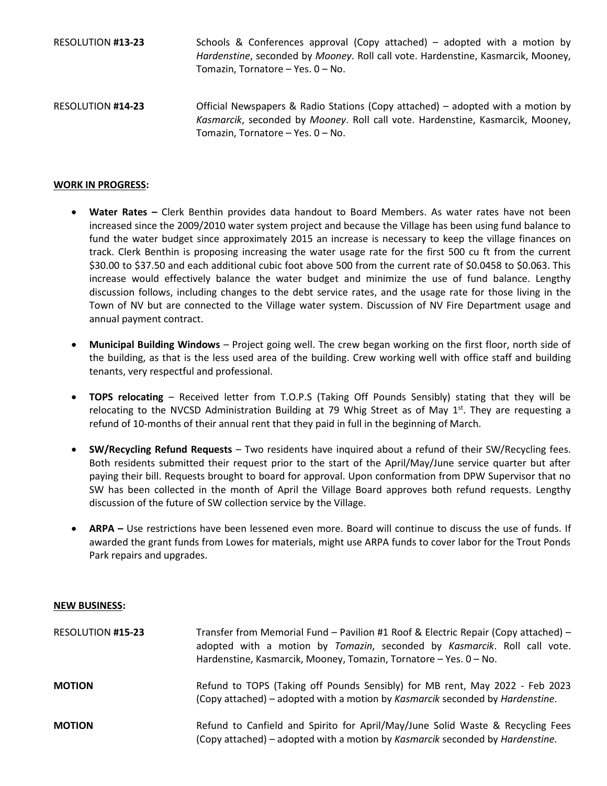RESOLUTION **#13-23** Schools & Conferences approval (Copy attached) – adopted with a motion by *Hardenstine*, seconded by *Mooney*. Roll call vote. Hardenstine, Kasmarcik, Mooney, Tomazin, Tornatore – Yes. 0 – No.

## **WORK IN PROGRESS:**

- **Water Rates –** Clerk Benthin provides data handout to Board Members. As water rates have not been increased since the 2009/2010 water system project and because the Village has been using fund balance to fund the water budget since approximately 2015 an increase is necessary to keep the village finances on track. Clerk Benthin is proposing increasing the water usage rate for the first 500 cu ft from the current \$30.00 to \$37.50 and each additional cubic foot above 500 from the current rate of \$0.0458 to \$0.063. This increase would effectively balance the water budget and minimize the use of fund balance. Lengthy discussion follows, including changes to the debt service rates, and the usage rate for those living in the Town of NV but are connected to the Village water system. Discussion of NV Fire Department usage and annual payment contract.
- **Municipal Building Windows** Project going well. The crew began working on the first floor, north side of the building, as that is the less used area of the building. Crew working well with office staff and building tenants, very respectful and professional.
- **TOPS relocating** Received letter from T.O.P.S (Taking Off Pounds Sensibly) stating that they will be relocating to the NVCSD Administration Building at 79 Whig Street as of May  $1<sup>st</sup>$ . They are requesting a refund of 10-months of their annual rent that they paid in full in the beginning of March.
- **SW/Recycling Refund Requests**  Two residents have inquired about a refund of their SW/Recycling fees. Both residents submitted their request prior to the start of the April/May/June service quarter but after paying their bill. Requests brought to board for approval. Upon conformation from DPW Supervisor that no SW has been collected in the month of April the Village Board approves both refund requests. Lengthy discussion of the future of SW collection service by the Village.
- **ARPA –** Use restrictions have been lessened even more. Board will continue to discuss the use of funds. If awarded the grant funds from Lowes for materials, might use ARPA funds to cover labor for the Trout Ponds Park repairs and upgrades.

### **NEW BUSINESS:**

| <b>RESOLUTION #15-23</b> | Transfer from Memorial Fund – Pavilion #1 Roof & Electric Repair (Copy attached) –<br>adopted with a motion by Tomazin, seconded by Kasmarcik. Roll call vote.<br>Hardenstine, Kasmarcik, Mooney, Tomazin, Tornatore - Yes. 0 - No. |  |
|--------------------------|-------------------------------------------------------------------------------------------------------------------------------------------------------------------------------------------------------------------------------------|--|
| <b>MOTION</b>            | Refund to TOPS (Taking off Pounds Sensibly) for MB rent, May 2022 - Feb 2023<br>(Copy attached) – adopted with a motion by Kasmarcik seconded by Hardenstine.                                                                       |  |
| <b>MOTION</b>            | Refund to Canfield and Spirito for April/May/June Solid Waste & Recycling Fees<br>(Copy attached) – adopted with a motion by Kasmarcik seconded by Hardenstine.                                                                     |  |

RESOLUTION **#14-23** Official Newspapers & Radio Stations (Copy attached) – adopted with a motion by *Kasmarcik*, seconded by *Mooney*. Roll call vote. Hardenstine, Kasmarcik, Mooney, Tomazin, Tornatore – Yes. 0 – No.